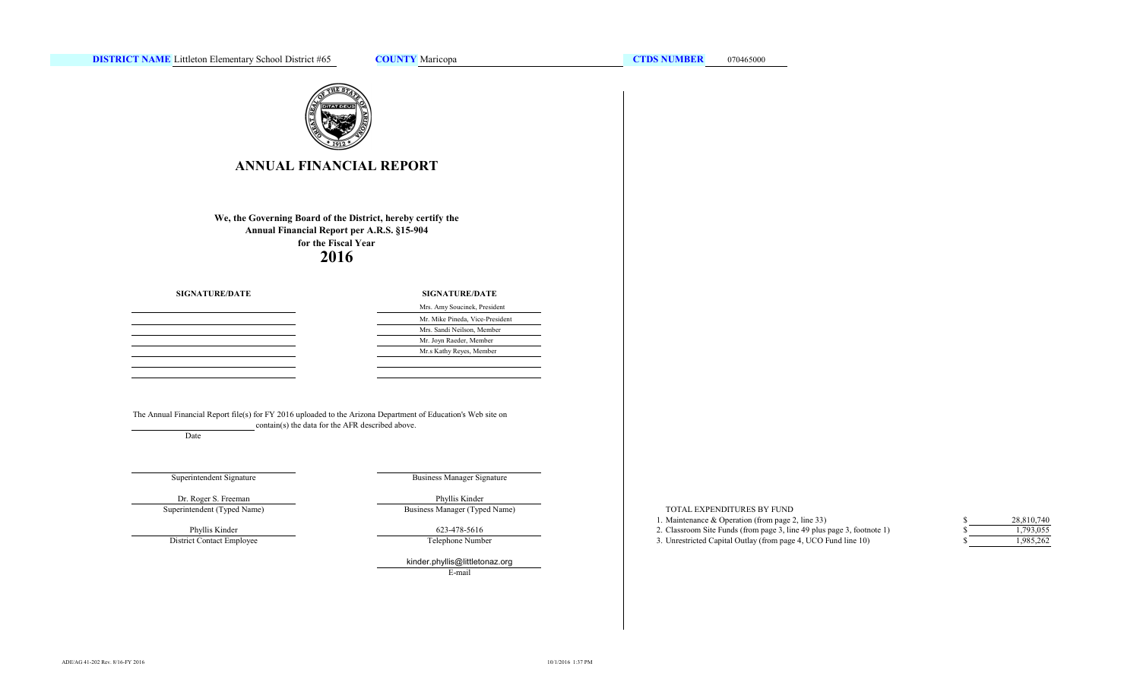

# **ANNUAL FINANCIAL REPORT**

**Annual Financial Report per A.R.S. §15-904 for the Fiscal Year We, the Governing Board of the District, hereby certify the 2016**

> $\sim$  $\sim$  $\overline{\phantom{0}}$

**SIGNATURE/DATE**

#### **SIGNATURE/DATE**

| Mrs. Amy Soucinek, President    |
|---------------------------------|
| Mr. Mike Pineda, Vice-President |
| Mrs. Sandi Neilson, Member      |
| Mr. Joyn Raeder, Member         |
| Mr.s Kathy Reyes, Member        |
|                                 |

The Annual Financial Report file(s) for FY 2016 uploaded to the Arizona Department of Education's Web site on contain(s) the data for the AFR described above.

Date

## Superintendent Signature

Business Manager Signature

Business Manager (Typed Name)

Dr. Roger S. Freeman Phyllis Kinder Superintendent (Typed Name)

District Contact Employee Phyllis Kinder

623-478-5616

Telephone Number

kinder.phyllis@littletonaz.org E-mail

#### TOTAL EXPENDITURES BY FUND

- 1. Maintenance & Operation (from page 2, line 33) \$
- 2. Classroom Site Funds (from page 3, line 49 plus page 3, footnote 1) \$
- 3. Unrestricted Capital Outlay (from page 4, UCO Fund line 10) \$

| \$  | 28,810,740 |
|-----|------------|
| \$  | 1.793.055  |
| \$. | 1,985,262  |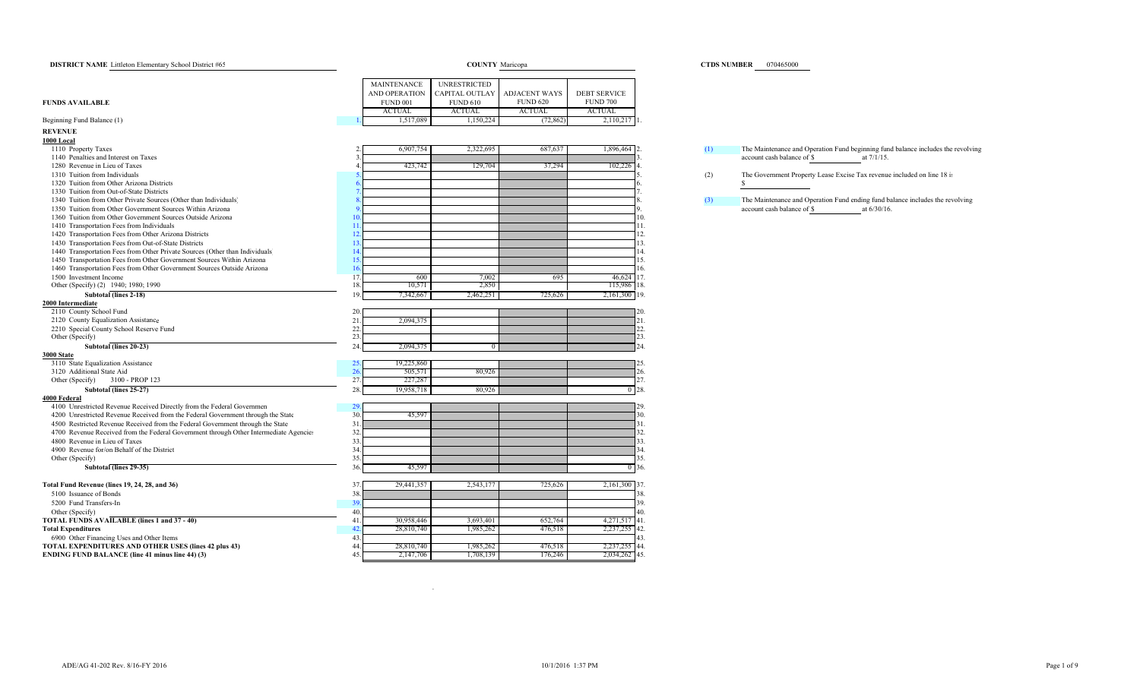| <b>DISTRICT NAME</b> Littleton Elementary School District #65                         | <b>COUNTY</b> Maricopa |                      |                     |                      |                                        |  |  |  |
|---------------------------------------------------------------------------------------|------------------------|----------------------|---------------------|----------------------|----------------------------------------|--|--|--|
|                                                                                       |                        | <b>MAINTENANCE</b>   | <b>UNRESTRICTED</b> |                      |                                        |  |  |  |
|                                                                                       |                        | <b>AND OPERATION</b> | CAPITAL OUTLAY      | <b>ADJACENT WAYS</b> |                                        |  |  |  |
| <b>FUNDS AVAILABLE</b>                                                                |                        | <b>FUND 001</b>      | <b>FUND 610</b>     | <b>FUND 620</b>      | <b>DEBT SERVICE</b><br><b>FUND 700</b> |  |  |  |
|                                                                                       |                        | <b>ACTUAL</b>        | <b>ACTUAL</b>       | <b>ACTUAL</b>        | <b>ACTUAL</b>                          |  |  |  |
| Beginning Fund Balance (1)                                                            |                        | 1,517,089            | 1,150,224           | (72, 862)            | 2,110,217                              |  |  |  |
|                                                                                       |                        |                      |                     |                      |                                        |  |  |  |
| <b>REVENUE</b>                                                                        |                        |                      |                     |                      |                                        |  |  |  |
| 1000 Local<br>1110 Property Taxes                                                     |                        | 6,907,754            | 2,322,695           | 687,637              | 1.896.464                              |  |  |  |
| 1140 Penalties and Interest on Taxes                                                  | 3                      |                      |                     |                      |                                        |  |  |  |
| 1280 Revenue in Lieu of Taxes                                                         | $\overline{4}$         | 423,742              | 129,704             | 37,294               | 102,226<br>4.                          |  |  |  |
| 1310 Tuition from Individuals                                                         | 5                      |                      |                     |                      | 5.                                     |  |  |  |
| 1320 Tuition from Other Arizona Districts                                             | 6                      |                      |                     |                      | 6.                                     |  |  |  |
| 1330 Tuition from Out-of-State Districts                                              | $\overline{7}$         |                      |                     |                      | 7.                                     |  |  |  |
| 1340 Tuition from Other Private Sources (Other than Individuals)                      | 8                      |                      |                     |                      | 8.                                     |  |  |  |
| 1350 Tuition from Other Government Sources Within Arizona                             | 9                      |                      |                     |                      | 9.                                     |  |  |  |
| 1360 Tuition from Other Government Sources Outside Arizona                            | 10.                    |                      |                     |                      | 10.                                    |  |  |  |
| 1410 Transportation Fees from Individuals                                             | 11                     |                      |                     |                      | 11.                                    |  |  |  |
|                                                                                       | 12                     |                      |                     |                      | 12.                                    |  |  |  |
| 1420 Transportation Fees from Other Arizona Districts                                 | 13                     |                      |                     |                      | 13.                                    |  |  |  |
| 1430 Transportation Fees from Out-of-State Districts                                  | 14                     |                      |                     |                      |                                        |  |  |  |
| 1440 Transportation Fees from Other Private Sources (Other than Individuals)          |                        |                      |                     |                      | 14.                                    |  |  |  |
| 1450 Transportation Fees from Other Government Sources Within Arizona                 | 15                     |                      |                     |                      | 15.                                    |  |  |  |
| 1460 Transportation Fees from Other Government Sources Outside Arizona                | 16.                    |                      |                     |                      | 16.                                    |  |  |  |
| 1500 Investment Income                                                                | 17.                    | 600                  | 7,002               | 695                  | 17.<br>46,624                          |  |  |  |
| Other (Specify) (2) 1940; 1980; 1990                                                  | 18                     | 10,571               | 2,850               |                      | 18.<br>115,986                         |  |  |  |
| <b>Subtotal (lines 2-18)</b>                                                          | 19.                    | 7,342,667            | 2,462,251           | 725,626              | 19.<br>2,161,300                       |  |  |  |
| 2000 Intermediate                                                                     |                        |                      |                     |                      |                                        |  |  |  |
| 2110 County School Fund                                                               | 20                     |                      |                     |                      | 20.                                    |  |  |  |
| 2120 County Equalization Assistance                                                   | 21                     | 2,094,375            |                     |                      | 21.                                    |  |  |  |
| 2210 Special County School Reserve Fund                                               | 22.                    |                      |                     |                      | 22.                                    |  |  |  |
| Other (Specify)                                                                       | 23.                    |                      |                     |                      | 23.                                    |  |  |  |
| Subtotal (lines 20-23)                                                                | 24                     | 2,094,375            | $\overline{0}$      |                      | 24.                                    |  |  |  |
| 3000 State                                                                            |                        |                      |                     |                      |                                        |  |  |  |
| 3110 State Equalization Assistance                                                    | 25                     | 19,225,860           |                     |                      | 25                                     |  |  |  |
| 3120 Additional State Aid                                                             | 26                     | 505,571              | 80,926              |                      | 26.                                    |  |  |  |
| Other (Specify)<br>3100 - PROP 123                                                    | 27                     | 227,287              |                     |                      | 27.                                    |  |  |  |
| Subtotal (lines 25-27)                                                                | 28.                    | 19,958,718           | 80,926              |                      | $0^{\circ}28.$                         |  |  |  |
| 4000 Federal                                                                          | 29                     |                      |                     |                      | 29.                                    |  |  |  |
| 4100 Unrestricted Revenue Received Directly from the Federal Governmen                | 30.                    |                      |                     |                      | 30.                                    |  |  |  |
| 4200 Unrestricted Revenue Received from the Federal Government through the State      | 31                     | 45,597               |                     |                      |                                        |  |  |  |
| 4500 Restricted Revenue Received from the Federal Government through the State        |                        |                      |                     |                      | 31.                                    |  |  |  |
| 4700 Revenue Received from the Federal Government through Other Intermediate Agencies | 32.                    |                      |                     |                      | 32.                                    |  |  |  |
| 4800 Revenue in Lieu of Taxes                                                         | 33.                    |                      |                     |                      | 33.                                    |  |  |  |
| 4900 Revenue for/on Behalf of the District                                            | 34.                    |                      |                     |                      | 34.                                    |  |  |  |
| Other (Specify)                                                                       | 35.                    |                      |                     |                      | 35.                                    |  |  |  |
| Subtotal (lines 29-35)                                                                | 36                     | 45,597               |                     |                      | 36.<br>$\overline{0}$                  |  |  |  |
| Total Fund Revenue (lines 19, 24, 28, and 36)                                         | 37                     | 29,441,357           | 2,543,177           | 725,626              | 2,161,300<br>37.                       |  |  |  |
|                                                                                       | 38                     |                      |                     |                      | 38.                                    |  |  |  |
| 5100 Issuance of Bonds                                                                | 39                     |                      |                     |                      | 39.                                    |  |  |  |
| 5200 Fund Transfers-In                                                                |                        |                      |                     |                      |                                        |  |  |  |
| Other (Specify)                                                                       | 40.                    |                      |                     |                      | 40.                                    |  |  |  |
| <b>TOTAL FUNDS AVAILABLE (lines 1 and 37 - 40)</b>                                    | 41                     | 30,958,446           | 3,693,401           | 652,764              | 41.<br>4,271,517                       |  |  |  |
| <b>Total Expenditures</b>                                                             | 42                     | 28,810,740           | 1,985,262           | 476,518              | 42.<br>2,237,255                       |  |  |  |
| 6900 Other Financing Uses and Other Items                                             | 43                     |                      |                     |                      | 43.                                    |  |  |  |
| <b>TOTAL EXPENDITURES AND OTHER USES (lines 42 plus 43)</b>                           | 44.                    | 28,810,740           | 1,985,262           | 476,518              | 2,237,255<br>44.                       |  |  |  |
| <b>ENDING FUND BALANCE (line 41 minus line 44) (3)</b>                                | 45.                    | 2,147,706            | 1,708,139           | 176,246              | 45.<br>2,034,262                       |  |  |  |

## **CTDS NUMBER** 070465000

2. (1) The Maintenance and Operation Fund beginning fund balance includes the revolving account cash balance of  $\frac{\text{S}}{\text{S}}$  at  $\frac{7}{11}$ .  $\frac{3.}{4}$  3.  $\frac{3.}{4}$  account cash balance of  $\frac{3.}{5}$  at 7/1/15.

 5. 5. (2) The Government Property Lease Excise Tax revenue included on line 18 is \$

18. (3) The Maintenance and Operation Fund ending fund balance includes the revolving account cash balance of \$ at  $6/30/16$ .  $\frac{9}{10}$ . account cash balance of  $\frac{8}{5}$  at 6/30/16.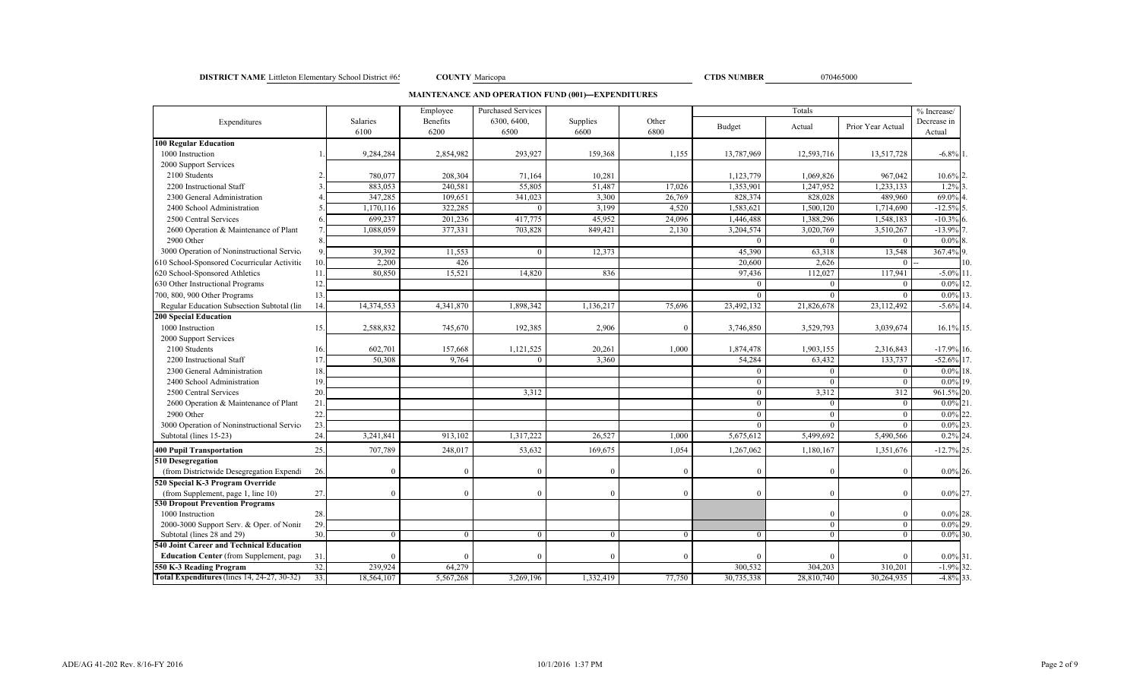#### **DISTRICT NAME** Littleton Elementary School District #65 000 **COUNTY** Maricopa 070465000 070465000

COUNTY Maricopa

**MAINTENANCE AND OPERATION FUND (001)—EXPENDITURES**

|                                                    |     |            | Employee  | <b>Purchased Services</b> |           |          | Totals     |            |                   | $\frac{9}{6}$ Increase/ |
|----------------------------------------------------|-----|------------|-----------|---------------------------|-----------|----------|------------|------------|-------------------|-------------------------|
| Expenditures                                       |     | Salaries   | Benefits  | 6300, 6400.               | Supplies  | Other    | Budget     | Actual     | Prior Year Actual | Decrease in             |
| <b>100 Regular Education</b>                       |     | 6100       | 6200      | 6500                      | 6600      | 6800     |            |            |                   | Actual                  |
| 1000 Instruction                                   |     | 9,284,284  | 2,854,982 | 293,927                   | 159,368   | 1,155    | 13,787,969 | 12,593,716 | 13,517,728        | $-6.8\%$ 1.             |
| 2000 Support Services                              |     |            |           |                           |           |          |            |            |                   |                         |
| 2100 Students                                      |     | 780,077    | 208,304   | 71,164                    | 10,281    |          | 1,123,779  | 1,069,826  | 967,042           | 10.6%                   |
| 2200 Instructional Staff                           |     | 883,053    | 240,581   | 55,805                    | 51,487    | 17,026   | 1,353,901  | 1,247,952  | 1,233,133         | 1.2%                    |
| 2300 General Administration                        |     | 347,285    | 109,651   | 341,023                   | 3,300     | 26,769   | 828,374    | 828,028    | 489,960           | 69.0%                   |
| 2400 School Administration                         |     | 1,170,116  | 322,285   | $\theta$                  | 3,199     | 4,520    | 1,583,621  | 1,500,120  | 1,714,690         | $-12.5%$                |
| 2500 Central Services                              |     | 699,237    | 201,236   | 417,775                   | 45,952    | 24,096   | 1,446,488  | 1,388,296  | 1,548,183         | $-10.3%$                |
| 2600 Operation & Maintenance of Plant              |     | 1,088,059  | 377,331   | 703,828                   | 849,421   | 2,130    | 3,204,574  | 3,020,769  | 3,510,267         | $-13.9%$                |
| 2900 Other                                         |     |            |           |                           |           |          | $\Omega$   |            | $\Omega$          | $0.0\%$                 |
| 3000 Operation of Noninstructional Servic-         | 9.  | 39,392     | 11,553    | $\theta$                  | 12,373    |          | 45,390     | 63,318     | 13,548            | 367.4% 9.               |
|                                                    |     | 2,200      |           |                           |           |          |            | 2,626      | $\Omega$          | 10.                     |
| 610 School-Sponsored Cocurricular Activitie        | 10. |            | 426       |                           |           |          | 20,600     |            |                   |                         |
| 620 School-Sponsored Athletics                     | 11  | 80,850     | 15,521    | 14,820                    | 836       |          | 97,436     | 112,027    | 117,941           | $-5.0\%$<br>11          |
| 630 Other Instructional Programs                   | 12  |            |           |                           |           |          | $\Omega$   | $\Omega$   | $\Omega$          | $0.0\%$<br>12.          |
| 700, 800, 900 Other Programs                       | 13. |            |           |                           |           |          | $\theta$   |            | $\Omega$          | $0.0\%$ 13              |
| Regular Education Subsection Subtotal (lin         | 14. | 14,374,553 | 4,341,870 | 1.898.342                 | 1,136,217 | 75,696   | 23,492,132 | 21,826,678 | 23,112,492        | $-5.6\%$ 14.            |
| <b>200 Special Education</b>                       |     |            |           |                           |           |          |            |            |                   |                         |
| 1000 Instruction                                   | 15. | 2,588,832  | 745,670   | 192,385                   | 2,906     | $\theta$ | 3,746,850  | 3,529,793  | 3,039,674         | 16.1% 15.               |
| 2000 Support Services                              |     |            |           |                           |           |          |            |            |                   |                         |
| 2100 Students                                      | 16. | 602,701    | 157,668   | 1,121,525                 | 20,261    | 1,000    | 1,874,478  | 1,903,155  | 2,316,843         | $-17.9\%$ 16.           |
| 2200 Instructional Staff                           | 17  | 50,308     | 9,764     | $\Omega$                  | 3,360     |          | 54,284     | 63,432     | 133,737           | $-52.6%$<br>17.         |
| 2300 General Administration                        | 18  |            |           |                           |           |          | $\Omega$   |            | $\Omega$          | 0.0%<br>18.             |
| 2400 School Administration                         | 19  |            |           |                           |           |          | $\Omega$   |            | $\theta$          | $0.0\%$<br>19.          |
| 2500 Central Services                              | 20  |            |           | 3,312                     |           |          | $\theta$   | 3,312      | 312               | 961.5%<br>20.           |
| 2600 Operation & Maintenance of Plant              | 21  |            |           |                           |           |          | $\Omega$   |            | $\mathbf{0}$      | $0.0\%$<br>21           |
| 2900 Other                                         | 22. |            |           |                           |           |          | $\Omega$   | $\Omega$   | $\theta$          | 22<br>$0.0\%$           |
| 3000 Operation of Noninstructional Servic-         | 23. |            |           |                           |           |          | $\Omega$   | $\Omega$   | $\theta$          | $0.0\%$<br>23           |
| Subtotal (lines 15-23)                             | 24. | 3,241,841  | 913,102   | 1,317,222                 | 26,527    | 1,000    | 5,675,612  | 5,499,692  | 5,490,566         | 24<br>0.2%              |
| <b>400 Pupil Transportation</b>                    | 25. | 707,789    | 248,017   | 53,632                    | 169,675   | 1,054    | 1,267,062  | 1,180,167  | 1,351,676         | $-12.7\%$ 25.           |
| 510 Desegregation                                  |     |            |           |                           |           |          |            |            |                   |                         |
| (from Districtwide Desegregation Expendi           | 26. | $\Omega$   | $\Omega$  | $\Omega$                  | $\Omega$  | $\Omega$ |            |            | $\Omega$          | $0.0\%$ 26.             |
| 520 Special K-3 Program Override                   |     |            |           |                           |           |          |            |            |                   |                         |
| (from Supplement, page 1, line 10)                 | 27. | $\theta$   | $\Omega$  | $\Omega$                  | $\Omega$  | $\theta$ |            | $\Omega$   | $\Omega$          | $0.0\%$ 27.             |
| <b>530 Dropout Prevention Programs</b>             |     |            |           |                           |           |          |            |            |                   |                         |
| 1000 Instruction                                   | 28. |            |           |                           |           |          |            |            | $\Omega$          | $0.0\%$ 28.             |
| 2000-3000 Support Serv. & Oper. of Nonin           | 29. |            |           |                           |           |          |            | $\Omega$   | $\mathbf{0}$      | 29.<br>$0.0\%$          |
| Subtotal (lines 28 and 29)                         | 30. | $\Omega$   | $\theta$  | $\theta$                  | $\Omega$  | $\Omega$ |            | $\Omega$   | $\Omega$          | $0.0\%$ 30.             |
| <b>540 Joint Career and Technical Education</b>    |     |            |           |                           |           |          |            |            |                   |                         |
| <b>Education Center</b> (from Supplement, page     | 31. | $\Omega$   | $\Omega$  | $\Omega$                  | $\Omega$  | $\Omega$ |            |            | $\Omega$          | $0.0\%$ 31.             |
| 550 K-3 Reading Program                            | 32. | 239.924    | 64,279    |                           |           |          | 300,532    | 304,203    | 310,201           | $-1.9%$ 32.             |
| <b>Total Expenditures</b> (lines 14, 24-27, 30-32) | 33. | 18,564,107 | 5,567,268 | 3,269,196                 | 1,332,419 | 77,750   | 30,735,338 | 28,810,740 | 30,264,935        | $-4.8\%$ 33             |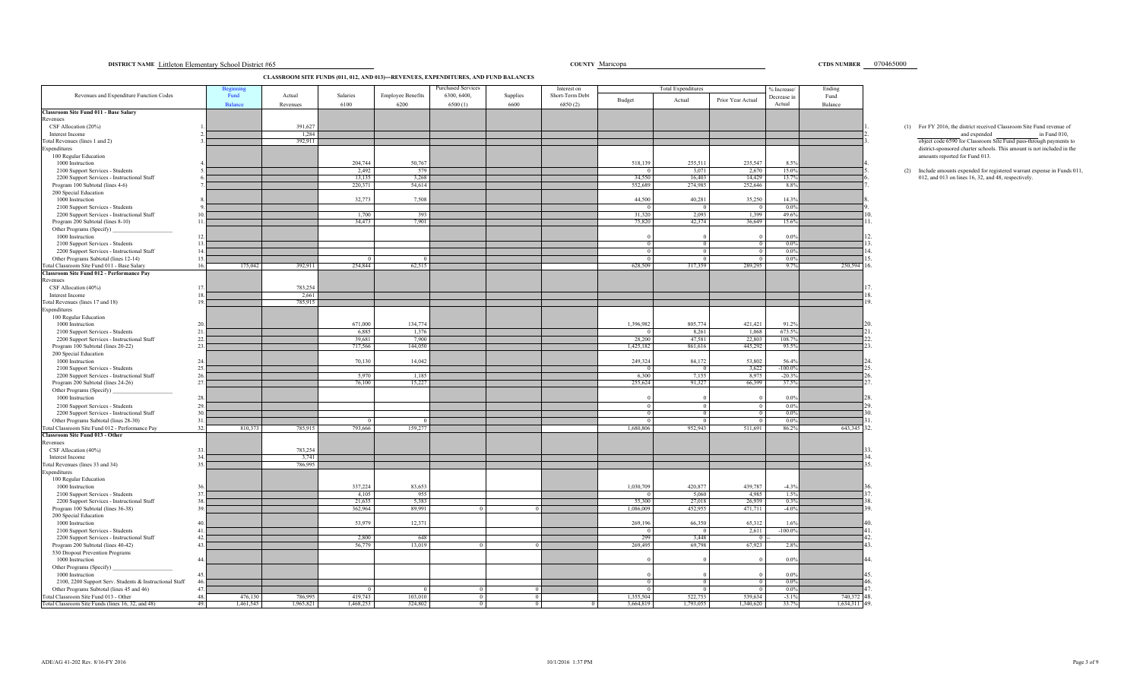**DISTRICT NAME Littleton Elementary School District #65** Maria 2010 10465000 Maria 2010 10465000 Maria 2010 10465000 Maria 2010 10465000 Maria 2010 10465000 Maria 2010 10465000 Maria 2010 10465000 Maria 2010 10465000 Maria

**CLASSROOM SITE FUNDS (011, 012, AND 013)—REVENUES, EXPENDITURES, AND FUND BALANCES**

|                                                                                    | Beginni               |                    |                  |                                  | Purchased Services     |                  | Interest on                |                | <b>Total Expenditures</b> |                   | % Increase            | Ending          |                                                                                                       |
|------------------------------------------------------------------------------------|-----------------------|--------------------|------------------|----------------------------------|------------------------|------------------|----------------------------|----------------|---------------------------|-------------------|-----------------------|-----------------|-------------------------------------------------------------------------------------------------------|
| Revenues and Expenditure Function Codes                                            | Fund<br>Balance       | Actual<br>Revenues | Salaries<br>6100 | <b>Employee Benefits</b><br>6200 | 6300, 6400,<br>6500(1) | Supplies<br>6600 | Short-Term Debt<br>6850(2) | Budget         | Actual                    | Prior Year Actual | Decrease in<br>Actual | Fund<br>Balance |                                                                                                       |
| Classroom Site Fund 011 - Base Salary                                              |                       |                    |                  |                                  |                        |                  |                            |                |                           |                   |                       |                 |                                                                                                       |
| Revenues                                                                           |                       |                    |                  |                                  |                        |                  |                            |                |                           |                   |                       |                 |                                                                                                       |
| CSF Allocation (20%)<br>Interest Income                                            |                       | 391,627<br>1,284   |                  |                                  |                        |                  |                            |                |                           |                   |                       |                 | (1) For FY 2016, the district received Classroom Site Fund revenue of<br>and expended<br>in Fund 010, |
| Total Revenues (lines 1 and 2)                                                     |                       | 392,911            |                  |                                  |                        |                  |                            |                |                           |                   |                       |                 | object code 6590 for Classroom Site Fund pass-through payments to                                     |
| Expenditures                                                                       |                       |                    |                  |                                  |                        |                  |                            |                |                           |                   |                       |                 | district-sponsored charter schools. This amount is not included in the                                |
| 100 Regular Education<br>1000 Instruction                                          |                       |                    | 204,744          | 50,767                           |                        |                  |                            | 518,139        | 255,511                   | 235,547           | 8.5%                  |                 | amounts reported for Fund 013.                                                                        |
| 2100 Support Services - Students                                                   |                       |                    | 2,492            | 579                              |                        |                  |                            |                | 3,071                     | 2,670             | 15.0%                 |                 | (2) Include amounts expended for registered warrant expense in Funds 011                              |
| 2200 Support Services - Instructional Staff                                        |                       |                    | 13,135           | 3,268                            |                        |                  |                            | 34,550         | 16,403                    | 14,429            | 13.7%                 |                 | 012, and 013 on lines 16, 32, and 48, respectively.                                                   |
| Program 100 Subtotal (lines 4-6)                                                   |                       |                    | 220,371          | 54,614                           |                        |                  |                            | 552,689        | 274,985                   | 252,646           | 8.8%                  |                 |                                                                                                       |
| 200 Special Education<br>1000 Instruction                                          |                       |                    | 32,773           | 7,508                            |                        |                  |                            | 44,500         | 40,281                    | 35,250            | 14.3%                 |                 |                                                                                                       |
| 2100 Support Services - Students                                                   |                       |                    |                  |                                  |                        |                  |                            |                |                           |                   | $0.0\%$               |                 |                                                                                                       |
| 2200 Support Services - Instructional Staff                                        |                       |                    | 1,700            | 393                              |                        |                  |                            | 31,320         | 2,093                     | 1,399             | 49.6%                 |                 |                                                                                                       |
| Program 200 Subtotal (lines 8-10)                                                  |                       |                    | 34,473           | 7,901                            |                        |                  |                            | 75,820         | 42,374                    | 36,649            | 15.6%                 |                 |                                                                                                       |
| Other Programs (Specify)                                                           |                       |                    |                  |                                  |                        |                  |                            |                |                           |                   |                       |                 |                                                                                                       |
| 1000 Instruction<br>2100 Support Services - Students                               | 12<br>13              |                    |                  |                                  |                        |                  |                            | $^{\circ}$     | $\Omega$                  | $\Omega$          | $0.0\%$<br>$0.0\%$    |                 | 13                                                                                                    |
| 2200 Support Services - Instructional Staff                                        | 14.                   |                    |                  |                                  |                        |                  |                            |                |                           |                   | $0.0\%$               |                 |                                                                                                       |
| Other Programs Subtotal (lines 12-14)                                              | 15.                   |                    |                  |                                  |                        |                  |                            |                |                           |                   | $0.0\%$               |                 |                                                                                                       |
| Total Classroom Site Fund 011 - Base Salary                                        | 16.<br>175,042        | 392,911            | 254,844          | 62,515                           |                        |                  |                            | 628,509        | 317,359                   | 289,295           | 9.7%                  | 250,594         | 6                                                                                                     |
| Classroom Site Fund 012 - Performance Pay<br>Revenues                              |                       |                    |                  |                                  |                        |                  |                            |                |                           |                   |                       |                 |                                                                                                       |
| CSF Allocation (40%)                                                               | 17                    | 783,254            |                  |                                  |                        |                  |                            |                |                           |                   |                       |                 |                                                                                                       |
| Interest Income                                                                    |                       | 2,661              |                  |                                  |                        |                  |                            |                |                           |                   |                       |                 |                                                                                                       |
| Total Revenues (lines 17 and 18)                                                   |                       | 785,915            |                  |                                  |                        |                  |                            |                |                           |                   |                       |                 | $\Omega$                                                                                              |
| Expenditures                                                                       |                       |                    |                  |                                  |                        |                  |                            |                |                           |                   |                       |                 |                                                                                                       |
| 100 Regular Education<br>1000 Instruction                                          |                       |                    | 671,000          | 134,774                          |                        |                  |                            | 1,396,982      | 805,774                   | 421,421           | 91.2%                 |                 |                                                                                                       |
| 2100 Support Services - Students                                                   | 21.                   |                    | 6,885            | 1,376                            |                        |                  |                            |                | 8,261                     | 1,068             | 673.5%                |                 |                                                                                                       |
| 2200 Support Services - Instructional Staff                                        | 22.                   |                    | 39,681           | 7,900                            |                        |                  |                            | 28,200         | 47,581                    | 22,803            | 108.7%                |                 |                                                                                                       |
| Program 100 Subtotal (lines 20-22)                                                 | 23                    |                    | 717,566          | 144,050                          |                        |                  |                            | 1,425,182      | 861,616                   | 445,292           | 93.5%                 |                 |                                                                                                       |
| 200 Special Education<br>1000 Instruction                                          | 24                    |                    | 70,130           | 14,042                           |                        |                  |                            | 249,324        | 84,172                    | 53,802            | 56.4%                 |                 |                                                                                                       |
| 2100 Support Services - Students                                                   | 25.                   |                    |                  |                                  |                        |                  |                            | $\overline{0}$ | $\overline{0}$            | 3.622             | $-100.0\%$            |                 |                                                                                                       |
| 2200 Support Services - Instructional Staff                                        | 26.                   |                    | 5.970            | 1.185                            |                        |                  |                            | 6.300          | 7.155                     | 8.975             | $-20.3%$              |                 |                                                                                                       |
| Program 200 Subtotal (lines 24-26)                                                 | 27.                   |                    | 76,100           | 15,227                           |                        |                  |                            | 255,624        | 91,327                    | 66,399            | 37.5%                 |                 |                                                                                                       |
| Other Programs (Specify)                                                           | 28                    |                    |                  |                                  |                        |                  |                            |                |                           |                   | $0.0\%$               |                 |                                                                                                       |
| 1000 Instruction<br>2100 Support Services - Students                               | 29.                   |                    |                  |                                  |                        |                  |                            |                | $\Omega$                  | $\Omega$          | $0.0\%$               |                 |                                                                                                       |
| 2200 Support Services - Instructional Staff                                        | 30                    |                    |                  |                                  |                        |                  |                            |                |                           |                   | $0.0\%$               |                 |                                                                                                       |
| Other Programs Subtotal (lines 28-30)                                              | 31.                   |                    |                  |                                  |                        |                  |                            |                |                           |                   | $0.0\%$               |                 |                                                                                                       |
| Total Classroom Site Fund 012 - Performance Pay                                    | 32.<br>810,373        | 785,915            | 793,666          | 159,277                          |                        |                  |                            | 1,680,806      | 952,943                   | 511,691           | 86.2%                 | 643,345         | 32.                                                                                                   |
| <b>Classroom Site Fund 013 - Other</b><br>Revenues                                 |                       |                    |                  |                                  |                        |                  |                            |                |                           |                   |                       |                 |                                                                                                       |
| CSF Allocation (40%)                                                               | 33                    | 783,254            |                  |                                  |                        |                  |                            |                |                           |                   |                       |                 |                                                                                                       |
| Interest Income                                                                    |                       | 3,741              |                  |                                  |                        |                  |                            |                |                           |                   |                       |                 |                                                                                                       |
| Total Revenues (lines 33 and 34)                                                   | 35                    | 786,995            |                  |                                  |                        |                  |                            |                |                           |                   |                       |                 | 15                                                                                                    |
| Expenditures<br>100 Regular Education                                              |                       |                    |                  |                                  |                        |                  |                            |                |                           |                   |                       |                 |                                                                                                       |
| 1000 Instruction                                                                   |                       |                    | 337,224          | 83,653                           |                        |                  |                            | 1,030,709      | 420,877                   | 439,787           | $-4.3%$               |                 |                                                                                                       |
| 2100 Support Services - Students                                                   | 37                    |                    | 4,105            | 955                              |                        |                  |                            |                | 5,060                     | 4,985             | 1.5%                  |                 |                                                                                                       |
| 2200 Support Services - Instructional Staff                                        | 38                    |                    | 21,635           | 5,383                            |                        |                  |                            | 55,300         | 27,018                    | 26,939            | 0.3%                  |                 |                                                                                                       |
| Program 100 Subtotal (lines 36-38)<br>200 Special Education                        | 39                    |                    | 362,964          | 89,991                           |                        |                  |                            | 1,086,009      | 452,955                   | 471,711           | $-4.0%$               |                 |                                                                                                       |
| 1000 Instruction                                                                   |                       |                    | 53,979           | 12,371                           |                        |                  |                            | 269,196        | 66,350                    | 65,312            | 1.6%                  |                 |                                                                                                       |
| 2100 Support Services - Students                                                   | 41                    |                    |                  |                                  |                        |                  |                            |                |                           | 2,611             | $-100.0\%$            |                 |                                                                                                       |
| 2200 Support Services - Instructional Staff                                        | 42                    |                    | 2,800            | 648                              |                        |                  |                            | 299            | 3,448                     |                   |                       |                 |                                                                                                       |
| Program 200 Subtotal (lines 40-42)<br>530 Dropout Prevention Programs              | 43.                   |                    | 56,779           | 13,019                           |                        |                  |                            | 269,495        | 69,798                    | 67,923            | 2.8%                  |                 | 13                                                                                                    |
| 1000 Instruction                                                                   | 44.                   |                    |                  |                                  |                        |                  |                            |                |                           |                   | $0.0\%$               |                 |                                                                                                       |
| Other Programs (Specify)                                                           |                       |                    |                  |                                  |                        |                  |                            |                |                           |                   |                       |                 |                                                                                                       |
| 1000 Instruction                                                                   | 45                    |                    |                  |                                  |                        |                  |                            |                |                           |                   | $0.0\%$               |                 |                                                                                                       |
| 2100, 2200 Support Serv. Students & Instructional Staff                            | 46                    |                    |                  |                                  |                        |                  |                            |                |                           |                   | $0.0\%$               |                 | 16                                                                                                    |
| Other Programs Subtotal (lines 45 and 46)<br>Total Classroom Site Fund 013 - Other | 47.<br>48.<br>476,130 | 786,995            | 419,743          | 103,010                          |                        | $\overline{0}$   |                            | 1,355,504      | 522,753                   | 539,634           | $0.0\%$<br>$-3.1%$    | 740,372         | 48.                                                                                                   |
| Total Classroom Site Funds (lines 16, 32, and 48)                                  | 49.<br>1.461.545      | 1,965,821          | 1.468.253        | 324,802                          |                        | $\overline{0}$   |                            | 3,664,819      | 1.793.055                 | 1,340,620         | 33.7%                 | 1.634.311       | 149.                                                                                                  |

## CTDS NUMBER \_\_ 070465000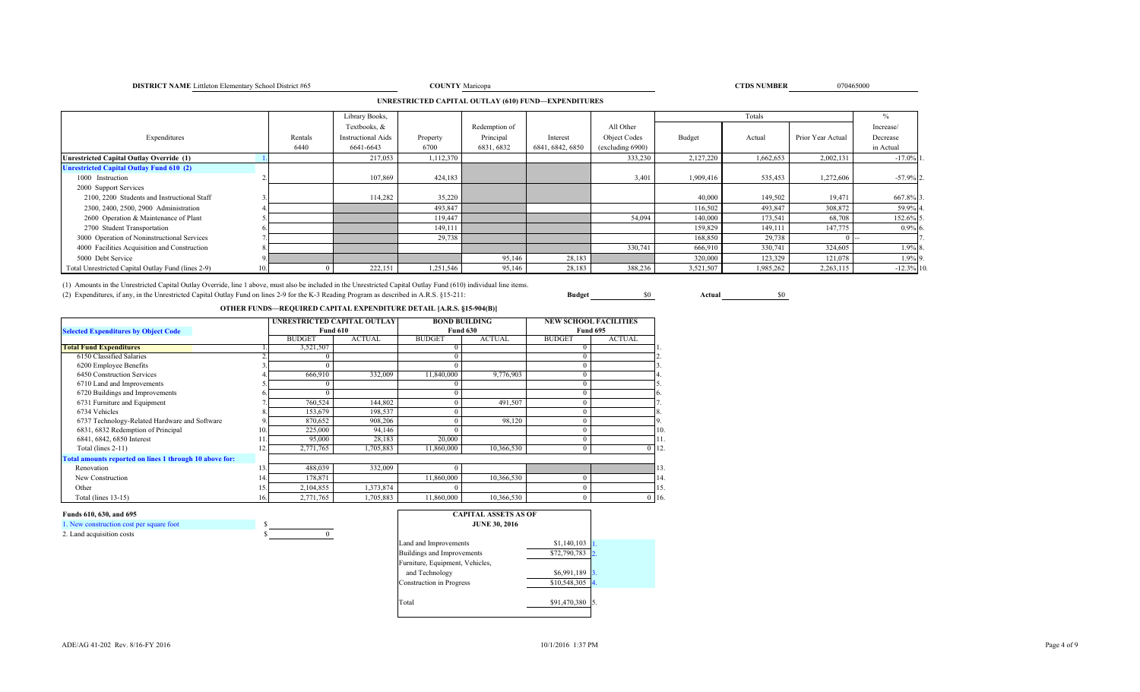#### ADE/AG 41-202 Rev. 8/16-FY 2016

1. New construction cost per square foot \$

**Funds 610, 630, and 695**

2. Land acquisition costs

|  | 10/1/2016 1:37 PM |  |
|--|-------------------|--|
|  |                   |  |

Total \$91,470,380

|  | <b>CAPITAL ASSETS AS OF</b><br><b>JUNE 30, 2016</b> |                                |
|--|-----------------------------------------------------|--------------------------------|
|  |                                                     |                                |
|  | Land and Improvements                               | \$1,140,103                    |
|  | Buildings and Improvements                          | \$72,790,783                   |
|  | Furniture, Equipment, Vehicles,                     |                                |
|  | and Technology                                      | \$6,991,189                    |
|  | <b>Construction</b> in Progress                     | \$10,548,305<br>$\overline{4}$ |
|  |                                                     |                                |

| 6720 Buildings and Improvements                       |     |           |           |            |            |              |          |
|-------------------------------------------------------|-----|-----------|-----------|------------|------------|--------------|----------|
| 6731 Furniture and Equipment                          |     | 760,524   | 144,802   |            | 491,507    | 0            |          |
| 6734 Vehicles                                         |     | 153,679   | 198.537   |            |            | $^{(1)}$     |          |
| 6737 Technology-Related Hardware and Software         |     | 870,652   | 908.206   |            | 98.120     | 0            |          |
| 6831, 6832 Redemption of Principal                    | 10. | 225,000   | 94.146    |            |            | 0            |          |
| 6841, 6842, 6850 Interest                             | 11. | 95,000    | 28.183    | 20,000     |            | 0            |          |
| Total (lines $2-11$ )                                 | 12. | 2,771,765 | 1,705,883 | 11,860,000 | 10,366,530 | $\mathbf{0}$ |          |
| tal amounts reported on lines 1 through 10 above for: |     |           |           |            |            |              |          |
| Renovation                                            | 13. | 488,039   | 332,009   |            |            |              |          |
| New Construction                                      | 14. | 178,871   |           | 11,860,000 | 10,366,530 | 0            |          |
| Other                                                 | 15. | 2,104,855 | 1,373,874 |            |            | 0            |          |
| Total (lines $13-15$ )                                | 16. | 2,771,765 | 1,705,883 | 11,860,000 | 10,366,530 | $\Omega$     | $\theta$ |
|                                                       |     |           |           |            |            |              |          |

| Unrestricted Capital Outlay Override (1)                                                                                                                          |  | 217,053 | 1,112,370 |        |        | 333,230 | 2,127,220 | 1,662,653 | 2,002,131 | $-17.0\%$ 1. |
|-------------------------------------------------------------------------------------------------------------------------------------------------------------------|--|---------|-----------|--------|--------|---------|-----------|-----------|-----------|--------------|
| <b>Unrestricted Capital Outlay Fund 610 (2)</b>                                                                                                                   |  |         |           |        |        |         |           |           |           |              |
| 1000 Instruction                                                                                                                                                  |  | 107,869 | 424,183   |        |        | 3,401   | 1,909,416 | 535,453   | 1,272,606 | $-57.9%$ 2.  |
| 2000 Support Services                                                                                                                                             |  |         |           |        |        |         |           |           |           |              |
| 2100, 2200 Students and Instructional Staff                                                                                                                       |  | 114,282 | 35,220    |        |        |         | 40,000    | 149,502   | 19.471    | 667.8% 3     |
| 2300, 2400, 2500, 2900 Administration                                                                                                                             |  |         | 493,847   |        |        |         | 116,502   | 493,847   | 308,872   | 59.9% 4      |
| 2600 Operation & Maintenance of Plant                                                                                                                             |  |         | 119,447   |        |        | 54,094  | 140,000   | 173,541   | 68,708    | 152.6% 5     |
| 2700 Student Transportation                                                                                                                                       |  |         | 149,111   |        |        |         | 159,829   | 149.111   | 147,775   | $0.9\%$ 6.   |
| 3000 Operation of Noninstructional Services                                                                                                                       |  |         | 29,738    |        |        |         | 168,850   | 29,738    |           |              |
| 4000 Facilities Acquisition and Construction                                                                                                                      |  |         |           |        |        | 330,741 | 666,910   | 330,741   | 324,605   | 1.9% 8.      |
| 5000 Debt Service                                                                                                                                                 |  |         |           | 95,146 | 28,183 |         | 320,000   | 123,329   | 121,078   | 1.9% 9.      |
| Total Unrestricted Capital Outlay Fund (lines 2-9)                                                                                                                |  | 222,151 | 1,251,546 | 95,146 | 28,183 | 388,236 | 3,521,507 | 1,985,262 | 2,263,115 | $-12.3\%$ 10 |
| (1) Amounts in the Unrestricted Capital Outlay Override, line 1 above, must also be included in the Unrestricted Capital Outlay Fund (610) individual line items. |  |         |           |        |        |         |           |           |           |              |
|                                                                                                                                                                   |  |         |           |        |        |         |           |           |           |              |

(2) Expenditures, if any, in the Unrestricted Capital Outlay Fund on lines 2-9 for the K-3 Reading Program as described in A.R.S. §15-211: **Budget** \$0 **Actual** \$0

**OTHER FUNDS—REQUIRED CAPITAL EXPENDITURE DETAIL [A.R.S. §15-904(B)]** 

|                                                         |     |               | UNRESTRICTED CAPITAL OUTLAY |               | <b>BOND BUILDING</b> | <b>NEW SCHOOL FACILITIES</b> |               |          |
|---------------------------------------------------------|-----|---------------|-----------------------------|---------------|----------------------|------------------------------|---------------|----------|
| <b>Selected Expenditures by Object Code</b>             |     |               | <b>Fund 610</b>             |               | <b>Fund 630</b>      | <b>Fund 695</b>              |               |          |
|                                                         |     | <b>BUDGET</b> | <b>ACTUAL</b>               | <b>BUDGET</b> | <b>ACTUAL</b>        | <b>BUDGET</b>                | <b>ACTUAL</b> |          |
| <b>Total Fund Expenditures</b>                          |     | 3,521,507     |                             |               |                      |                              |               |          |
| 6150 Classified Salaries                                |     |               |                             |               |                      |                              |               |          |
| 6200 Employee Benefits                                  |     |               |                             |               |                      |                              |               |          |
| 6450 Construction Services                              |     | 666,910       | 332,009                     | 11,840,000    | 9,776,903            |                              |               |          |
| 6710 Land and Improvements                              |     |               |                             |               |                      |                              |               |          |
| 6720 Buildings and Improvements                         |     |               |                             |               |                      |                              |               |          |
| 6731 Furniture and Equipment                            |     | 760,524       | 144,802                     |               | 491,507              |                              |               |          |
| 6734 Vehicles                                           |     | 153,679       | 198,537                     |               |                      |                              |               |          |
| 6737 Technology-Related Hardware and Software           |     | 870,652       | 908.206                     |               | 98.120               |                              |               |          |
| 6831, 6832 Redemption of Principal                      | 10  | 225,000       | 94,146                      |               |                      |                              |               | 10       |
| 6841, 6842, 6850 Interest                               |     | 95,000        | 28,183                      | 20,000        |                      |                              |               | 11.      |
| Total (lines $2-11$ )                                   |     | 2,771,765     | 1,705,883                   | 11.860,000    | 10,366,530           | $\Omega$                     |               | $0$ 12   |
| Total amounts reported on lines 1 through 10 above for: |     |               |                             |               |                      |                              |               |          |
| Renovation                                              | 13  | 488,039       | 332,009                     |               |                      |                              |               | 13.      |
| New Construction                                        | 14. | 178,871       |                             | 11,860,000    | 10,366,530           |                              |               | 14       |
| Other                                                   | 15  | 2,104,855     | 1,373,874                   |               |                      |                              |               | 15       |
| Total (lines 13-15)                                     | 16. | 2,771,765     | 1,705,883                   | 11,860,000    | 10,366,530           |                              |               | $0 \t16$ |

# **UNRESTRICTED CAPITAL OUTLAY (610) FUND—EXPENDITURES**

**DISTRICT NAME** Littleton Elementary School District #65 **COUNTY** 

Totals

Library Books, it is a contract to the contract of the contract of the contract of the contract of the contract of the contract of the contract of the contract of the contract of the contract of the contract of the contrac Textbooks, & Redemption of All Other Increase/

6440 6641-6643 6700 6831, 6832 6841, 6842, 6850 (excluding 6900) in Actual

Expenditures **Rentals Instructional Aids** Property Principal Interest Object Codes Budget Actual Prior Year Actual Decrease

#### **TIPS** Number 2008 **CTDS NUMBER** 070465000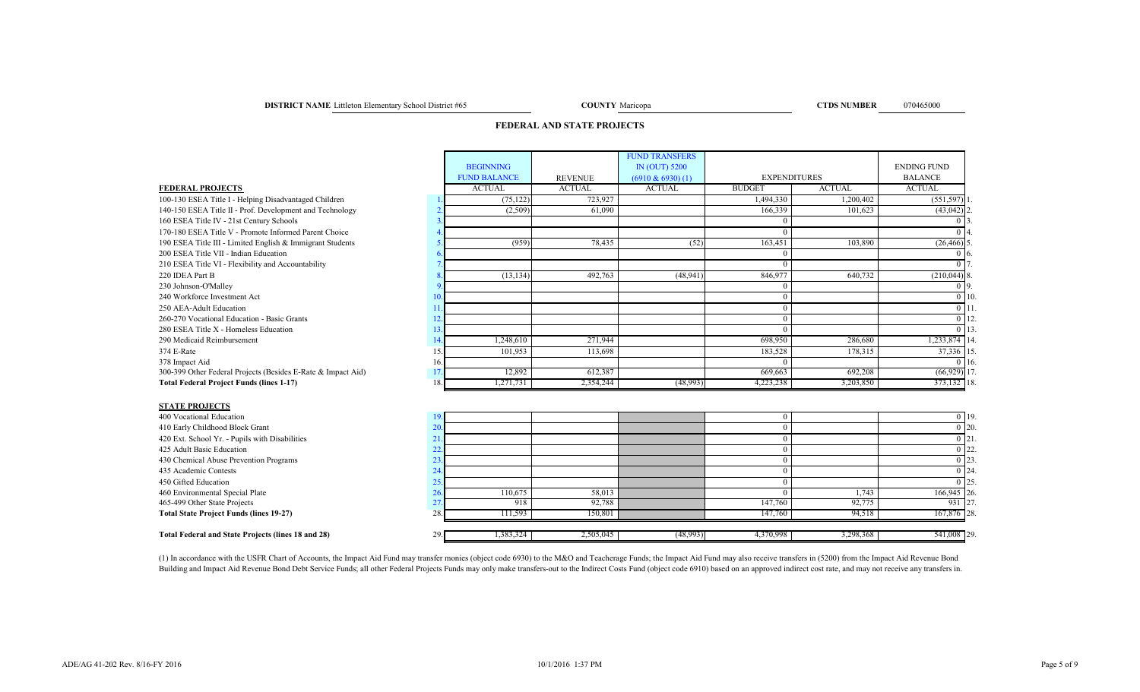**DISTRICT NAME** Littleton Elementary School District #65 **COUNTY** Maricopa **COUNTY** Maricopa **COUNTY** Maricopa **COUNTY** Maricopa **COUNTY** Maricopa **COUNTY** Maricopa **COUNTY COUNTY COUNTY COUNTY COUNTY COUNTY CO** 

COUNTY Maricopa

## **FEDERAL AND STATE PROJECTS**

| <b>FUND TRANSFERS</b>                                                                                        |                             |
|--------------------------------------------------------------------------------------------------------------|-----------------------------|
| <b>BEGINNING</b><br>IN (OUT) 5200                                                                            | <b>ENDING FUND</b>          |
| <b>FUND BALANCE</b><br><b>EXPENDITURES</b><br><b>REVENUE</b><br>$(6910 \& 6930) (1)$                         | <b>BALANCE</b>              |
| <b>ACTUAL</b><br><b>ACTUAL</b><br><b>ACTUAL</b><br><b>ACTUAL</b><br><b>BUDGET</b><br><b>FEDERAL PROJECTS</b> | <b>ACTUAL</b>               |
| (75, 122)<br>723,927<br>1,494,330<br>100-130 ESEA Title I - Helping Disadvantaged Children                   | $(551, 597)$ ]<br>1,200,402 |
| 140-150 ESEA Title II - Prof. Development and Technology<br>(2,509)<br>61,090<br>166,339                     | 101,623<br>$(43,042)$ 2.    |
| 160 ESEA Title IV - 21st Century Schools                                                                     |                             |
| 170-180 ESEA Title V - Promote Informed Parent Choice                                                        | 0 <sup>14</sup>             |
| 78,435<br>(52)<br>(959)<br>163,451<br>190 ESEA Title III - Limited English & Immigrant Students              | 103,890<br>$(26, 466)$ 5    |
| 200 ESEA Title VII - Indian Education                                                                        | -16                         |
| 210 ESEA Title VI - Flexibility and Accountability                                                           |                             |
| 846,977<br>220 IDEA Part B<br>(13, 134)<br>492,763<br>(48, 941)                                              | $(210,044)$ 8.<br>640,732   |
| 230 Johnson-O'Malley                                                                                         | $0\vert 9$                  |
| 240 Workforce Investment Act<br>10                                                                           | $0 \mid 10$                 |
| 250 AEA-Adult Education                                                                                      | $0 \mid 11$                 |
| 260-270 Vocational Education - Basic Grants                                                                  | $0$ 12.                     |
| 280 ESEA Title X - Homeless Education<br>13                                                                  | $0 \; 13$                   |
| 290 Medicaid Reimbursement<br>1,248,610<br>271,944<br>698,950<br>14                                          | 14.233,874 14.<br>286,680   |
| 101,953<br>113,698<br>183,528<br>374 E-Rate                                                                  | 37,336 15<br>178,315        |
| 378 Impact Aid<br>16.                                                                                        | $0\,16$                     |
| 300-399 Other Federal Projects (Besides E-Rate & Impact Aid)<br>12,892<br>612,387<br>669,663                 | 692,208<br>$(66, 929)$ 17   |
| <b>Total Federal Project Funds (lines 1-17)</b><br>18.<br>2,354,244<br>(48,993)<br>4,223,238<br>1,271,731    | 373,132 18.<br>3,203,850    |
| <b>STATE PROJECTS</b>                                                                                        |                             |
| 400 Vocational Education<br>19.<br>$\Omega$                                                                  | 0.119                       |

| 400 Vocational Education                                  |          |           |           |           |           |             | 0 19.     |
|-----------------------------------------------------------|----------|-----------|-----------|-----------|-----------|-------------|-----------|
| 410 Early Childhood Block Grant                           |          |           |           |           |           |             | $0\,120.$ |
| 420 Ext. School Yr. - Pupils with Disabilities            |          |           |           |           |           |             | $0\,121.$ |
| 425 Adult Basic Education                                 |          |           |           |           |           |             | $0\,22.$  |
| 430 Chemical Abuse Prevention Programs                    |          |           |           |           |           |             | $0\,23.$  |
| 435 Academic Contests                                     |          |           |           |           |           |             | ) 24.     |
| 450 Gifted Education                                      |          |           |           |           |           |             | $0\,125.$ |
| 460 Environmental Special Plate                           | 110,675  | 58,013    |           |           | 1,74?     | 166,945 26. |           |
| 465-499 Other State Projects                              | 918      | 92.788    |           | 147,760   | 92,775    | 931 27.     |           |
| <b>Total State Project Funds (lines 19-27)</b>            | 11.593   | 150,801   |           | 147,760   | 94,518    | 167,876 28. |           |
| <b>Total Federal and State Projects (lines 18 and 28)</b> | .383,324 | 2,505,045 | (48,993)] | 4,370,998 | 3,298,368 | 541,008 29. |           |

(1) In accordance with the USFR Chart of Accounts, the Impact Aid Fund may transfer monies (object code 6930) to the M&O and Teacherage Funds; the Impact Aid Fund may also receive transfers in (5200) from the Impact Aid Re Building and Impact Aid Revenue Bond Debt Service Funds; all other Federal Projects Funds may only make transfers-out to the Indirect Costs Fund (object code 6910) based on an approved indirect cost rate, and may not recei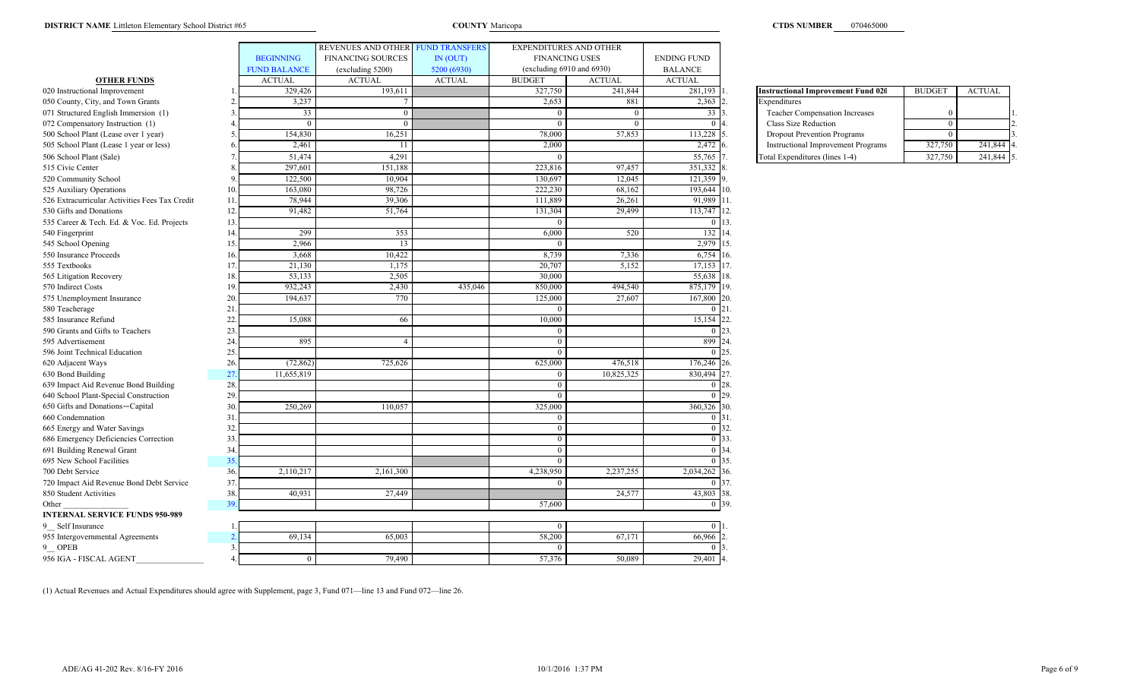|                                                |     |                     | <b>REVENUES AND OTHER</b> | <b>FUND TRANSFERS</b> |               | <b>EXPENDITURES AND OTHER</b> |                    |                                           |               |               |
|------------------------------------------------|-----|---------------------|---------------------------|-----------------------|---------------|-------------------------------|--------------------|-------------------------------------------|---------------|---------------|
|                                                |     | <b>BEGINNING</b>    | <b>FINANCING SOURCES</b>  | IN (OUT)              |               | <b>FINANCING USES</b>         |                    |                                           |               |               |
|                                                |     | <b>FUND BALANCE</b> | (excluding 5200)          | 5200 (6930)           |               | (excluding 6910 and 6930)     |                    |                                           |               |               |
| <b>OTHER FUNDS</b>                             |     | <b>ACTUAL</b>       | <b>ACTUAL</b>             | <b>ACTUAL</b>         | <b>BUDGET</b> | <b>ACTUAL</b>                 | <b>ACTUAL</b>      |                                           |               |               |
| 020 Instructional Improvement                  |     | 329,426             | 193,611                   |                       | 327,750       | 241,844                       | 281,193            | <b>Instructional Improvement Fund 020</b> | <b>BUDGET</b> | <b>ACTUAL</b> |
| 050 County, City, and Town Grants              |     | 3,237               |                           |                       | 2,653         | 881                           | 2,363              | Expenditures                              |               |               |
| 071 Structured English Immersion (1)           |     | 33                  | $\Omega$                  |                       | $\sqrt{ }$    | $\Omega$                      | 33                 | Teacher Compensation Increases            |               |               |
| 072 Compensatory Instruction (1)               |     | $\Omega$            |                           |                       | - 0           |                               | $\Omega$           | Class Size Reduction                      | $\theta$      |               |
| 500 School Plant (Lease over 1 year)           |     | 154,830             | 16,251                    |                       | 78,000        | 57,853                        | 113,228            | <b>Dropout Prevention Programs</b>        |               |               |
| 505 School Plant (Lease 1 year or less)        |     | 2,461               | -11                       |                       | 2,000         |                               | 2,472              | <b>Instructional Improvement Programs</b> | 327,750       | 241,844       |
| 506 School Plant (Sale)                        |     | 51,474              | 4,291                     |                       | ſ             |                               | 55,765             | Total Expenditures (lines 1-4)            | 327,750       | 241,844       |
| 515 Civic Center                               |     | 297,601             | 151,188                   |                       | 223,816       | 97,457                        | 351,332            |                                           |               |               |
| 520 Community School                           |     | 122,500             | 10,904                    |                       | 130,697       | 12,045                        | 121,359            |                                           |               |               |
| 525 Auxiliary Operations                       | 10  | 163,080             | 98,726                    |                       | 222,230       | 68,162                        | 193,644 10.        |                                           |               |               |
| 526 Extracurricular Activities Fees Tax Credit | 11  | 78,944              | 39,306                    |                       | 111,889       | 26,261                        | 91,989 11.         |                                           |               |               |
| 530 Gifts and Donations                        | 12  | 91,482              | 51,764                    |                       | 131,304       | 29,499                        | 113,747 12.        |                                           |               |               |
| 535 Career & Tech. Ed. & Voc. Ed. Projects     | 13  |                     |                           |                       |               |                               | $0$ 13.            |                                           |               |               |
| 540 Fingerprint                                | 14  | 299                 | 353                       |                       | 6,000         | 520                           | 132 14.            |                                           |               |               |
| 545 School Opening                             | 15. | 2,966               | 13                        |                       | - 0           |                               | 2,979 15.          |                                           |               |               |
| 550 Insurance Proceeds                         | 16  | 3,668               | 10,422                    |                       | 8,739         | 7,336                         | 6,754 16.          |                                           |               |               |
| 555 Textbooks                                  | 17  | 21,130              | 1,175                     |                       | 20,707        | 5,152                         | 17,153 17.         |                                           |               |               |
| 565 Litigation Recovery                        | 18  | 53,133              | 2,505                     |                       | 30,000        |                               | 55,638             | 18.                                       |               |               |
| 570 Indirect Costs                             | 19  | 932,243             | 2,430                     | 435,046               | 850,000       | 494,540                       | 875,179 19.        |                                           |               |               |
| 575 Unemployment Insurance                     | 20  | 194,637             | 770                       |                       | 125,000       | 27,607                        | 167,800            | 20.                                       |               |               |
| 580 Teacherage                                 | 21  |                     |                           |                       |               |                               | $\overline{0}$     | 21.                                       |               |               |
| 585 Insurance Refund                           | 22  | 15,088              | 66                        |                       | 10,000        |                               | 15,154 22.         |                                           |               |               |
| 590 Grants and Gifts to Teachers               | 23. |                     |                           |                       | $\Omega$      |                               | $0\,$ 23.          |                                           |               |               |
| 595 Advertisement                              | 24  | 895                 |                           |                       | $\Omega$      |                               | 899 24.            |                                           |               |               |
| 596 Joint Technical Education                  | 25  |                     |                           |                       | $\Omega$      |                               | $\Omega$           | 25.                                       |               |               |
| 620 Adjacent Ways                              | 26  | (72, 862)           | 725,626                   |                       | 625,000       | 476,518                       | 176,246 26.        |                                           |               |               |
| 630 Bond Building                              | 27  | 11,655,819          |                           |                       |               | 10,825,325                    | $830,494$ 27.      |                                           |               |               |
| 639 Impact Aid Revenue Bond Building           | 28  |                     |                           |                       | $\Omega$      |                               | $\Omega$           | 28.                                       |               |               |
| 640 School Plant-Special Construction          | 29  |                     |                           |                       |               |                               | $\theta$           | 29.                                       |               |               |
| 650 Gifts and Donations-Capital                | 30  | 250,269             | 110,057                   |                       | 325,000       |                               | 360,326 30.        |                                           |               |               |
| 660 Condemnation                               | 31  |                     |                           |                       | $\Omega$      |                               | $0 \, 31$          |                                           |               |               |
| 665 Energy and Water Savings                   | 32  |                     |                           |                       | $\Omega$      |                               | 0 32.              |                                           |               |               |
| 686 Emergency Deficiencies Correction          | 33  |                     |                           |                       | $\Omega$      |                               | $0\,$ 33.          |                                           |               |               |
| 691 Building Renewal Grant                     | 34  |                     |                           |                       | $\Omega$      |                               | $\overline{0}$ 34. |                                           |               |               |
| 695 New School Facilities                      | 35  |                     |                           |                       | $\Omega$      |                               | $\overline{0}$ 35. |                                           |               |               |
| 700 Debt Service                               | 36  | 2,110,217           | 2,161,300                 |                       | 4,238,950     | 2,237,255                     | 2,034,262 36.      |                                           |               |               |
| 720 Impact Aid Revenue Bond Debt Service       | 37  |                     |                           |                       |               |                               | $\overline{0}$ 37. |                                           |               |               |
| 850 Student Activities                         | 38  | 40,931              | 27,449                    |                       |               | 24,577                        | 43,803             | 38.                                       |               |               |
| Other                                          | 39  |                     |                           |                       | 57,600        |                               | 0 39.              |                                           |               |               |
| <b>INTERNAL SERVICE FUNDS 950-989</b>          |     |                     |                           |                       |               |                               |                    |                                           |               |               |
| 9 Self Insurance                               |     |                     |                           |                       | $\Omega$      |                               | $\theta$           |                                           |               |               |
| 955 Intergovernmental Agreements               |     | 69,134              | 65,003                    |                       | 58,200        | 67,171                        | 66,966             |                                           |               |               |
| 9 OPEB                                         | 3   |                     |                           |                       |               |                               | $\mathbf{0}$       |                                           |               |               |
| 956 IGA - FISCAL AGENT                         |     | $\overline{0}$      | 79,490                    |                       | 57,376        | 50,089                        | 29,401             |                                           |               |               |

| <b>Instructional Improvement Fund 020</b> | <b>BUDGET</b> | <b>ACTUAL</b> |  |
|-------------------------------------------|---------------|---------------|--|
| Expenditures                              |               |               |  |
| <b>Teacher Compensation Increases</b>     |               |               |  |
| Class Size Reduction                      |               |               |  |
| <b>Dropout Prevention Programs</b>        |               |               |  |
| <b>Instructional Improvement Programs</b> | 327,750       | 241,844       |  |
| Total Expenditures (lines 1-4)            | 327,750       | 241.84        |  |

(1) Actual Revenues and Actual Expenditures should agree with Supplement, page 3, Fund 071—line 13 and Fund 072—line 26.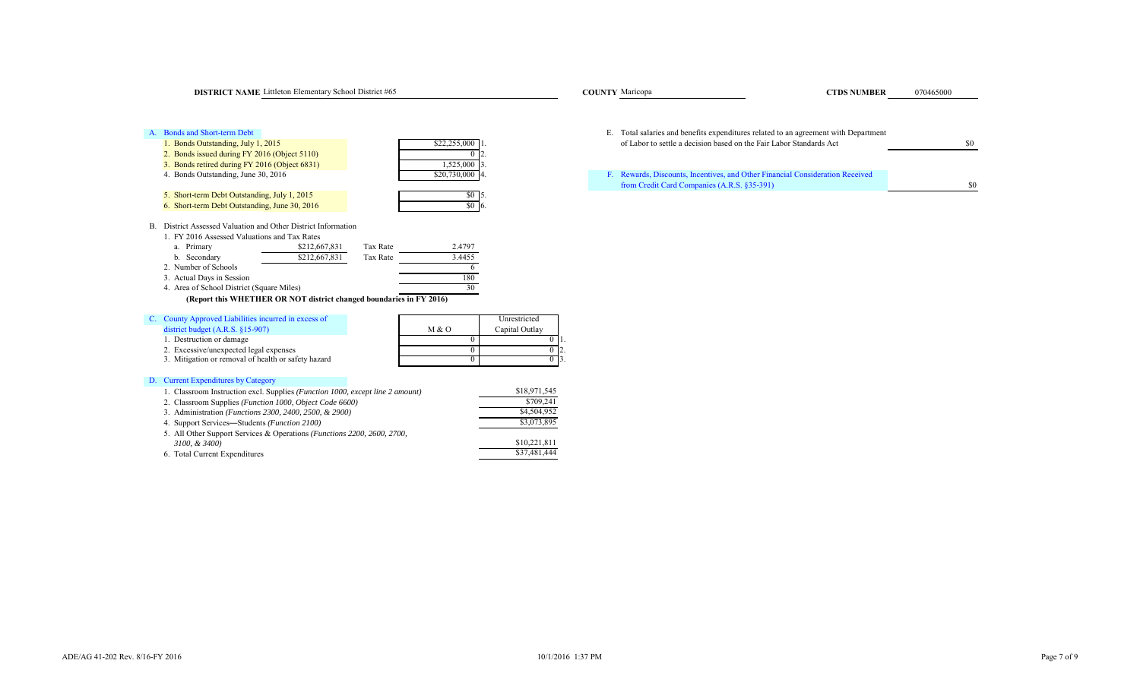| <b>DISTRICT NAME</b> Littleton Elementary School District #65 |                 | <b>COUNTY</b> Maricopa                                                        | <b>CTDS NUMBER</b>                                                                  | 070465000 |
|---------------------------------------------------------------|-----------------|-------------------------------------------------------------------------------|-------------------------------------------------------------------------------------|-----------|
| A. Bonds and Short-term Debt                                  |                 |                                                                               | E. Total salaries and benefits expenditures related to an agreement with Department |           |
| 1. Bonds Outstanding, July 1, 2015                            | \$22,255,000 1. | of Labor to settle a decision based on the Fair Labor Standards Act           |                                                                                     | \$0       |
| 2. Bonds issued during FY 2016 (Object 5110)                  |                 |                                                                               |                                                                                     |           |
| 3. Bonds retired during FY 2016 (Object 6831)                 | 1,525,000 3.    |                                                                               |                                                                                     |           |
| 4. Bonds Outstanding, June 30, 2016                           | \$20,730,000 4. | F. Rewards, Discounts, Incentives, and Other Financial Consideration Received |                                                                                     |           |
|                                                               |                 | from Credit Card Companies (A.R.S. §35-391)                                   |                                                                                     | \$0       |
| 5. Short-term Debt Outstanding, July 1, 2015                  | SO 15.          |                                                                               |                                                                                     |           |
| 6. Short-term Debt Outstanding, June 30, 2016                 | $$0\,16.$       |                                                                               |                                                                                     |           |

B. District Assessed Valuation and Other District Information

6. Short-term Debt Outstanding, June 30, 2016

|                                           | 1. FY 2016 Assessed Valuations and Tax Rates |          |        |  |  |  |  |  |
|-------------------------------------------|----------------------------------------------|----------|--------|--|--|--|--|--|
| a. Primary                                | \$212,667,831                                | Tax Rate | 2.4797 |  |  |  |  |  |
| b. Secondary                              | \$212,667,831                                | Tax Rate | 3.4455 |  |  |  |  |  |
| 2. Number of Schools                      |                                              |          |        |  |  |  |  |  |
| 3. Actual Days in Session                 |                                              |          | 180    |  |  |  |  |  |
| 4. Area of School District (Square Miles) |                                              |          | 30     |  |  |  |  |  |

# **(Report this WHETHER OR NOT district changed boundaries in FY 2016)**

| C. County Approved Liabilities incurred in excess of |       | Unrestricted   |     |
|------------------------------------------------------|-------|----------------|-----|
| district budget $(A.R.S. §15-907)$                   | M & O | Capital Outlay |     |
| 1. Destruction or damage                             |       |                |     |
| 2. Excessive/unexpected legal expenses               |       |                | LZ. |
| 3. Mitigation or removal of health or safety hazard  |       |                |     |
|                                                      |       |                |     |

# D. Current Expenditures by Category

| 1. Classroom Instruction excl. Supplies (Function 1000, except line 2 amount)    | \$18,971,545 |
|----------------------------------------------------------------------------------|--------------|
| 2. Classroom Supplies (Function 1000, Object Code 6600)                          | \$709.241    |
| 3. Administration ( <i>Functions 2300, 2400, 2500, &amp; 2900</i> )              | \$4,504,952  |
| 4. Support Services—Students ( <i>Function 2100</i> )                            | \$3,073,895  |
| 5. All Other Support Services & Operations ( <i>Functions 2200, 2600, 2700</i> , |              |
| 3100, & 3400)                                                                    | \$10,221,811 |
| 6. Total Current Expenditures                                                    | \$37,481,444 |
|                                                                                  |              |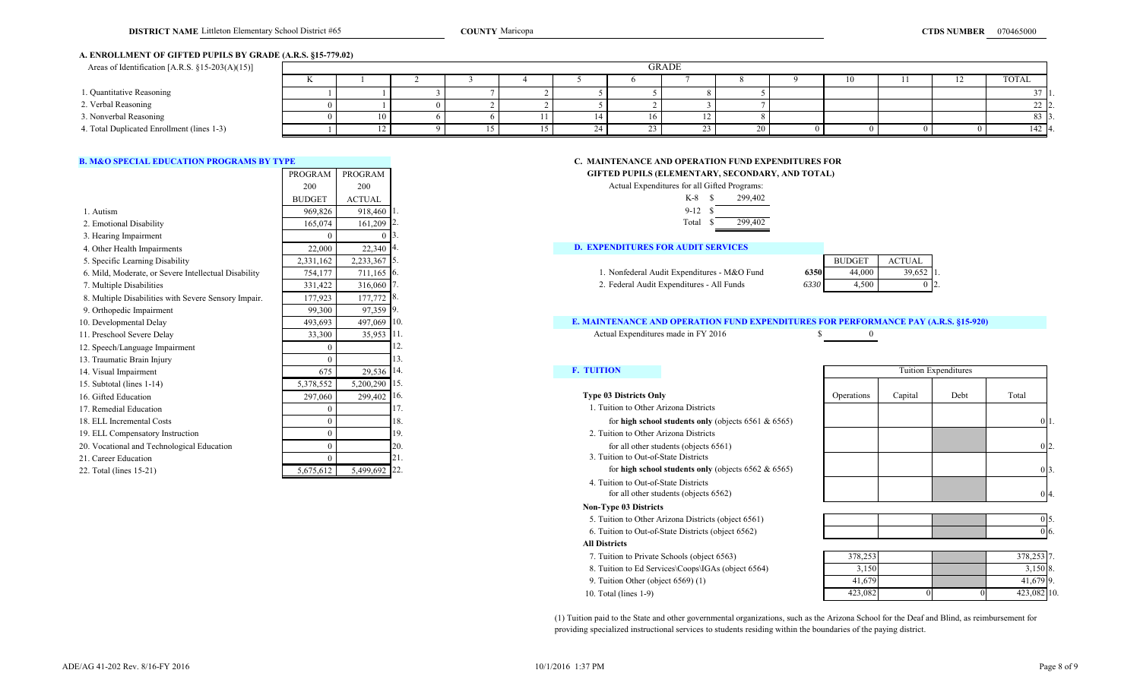## **A. ENROLLMENT OF GIFTED PUPILS BY GRADE (A.R.S. §15-779.02)**

| Areas of Identification [A.R.S. §15-203(A)(15)] |              | <b>GRADE</b> |  |  |  |  |  |  |     |  |  |        |
|-------------------------------------------------|--------------|--------------|--|--|--|--|--|--|-----|--|--|--------|
|                                                 | $\mathbf{r}$ |              |  |  |  |  |  |  |     |  |  | TOTAL  |
| 1. Quantitative Reasoning                       |              |              |  |  |  |  |  |  |     |  |  |        |
| 2. Verbal Reasoning                             |              |              |  |  |  |  |  |  |     |  |  |        |
| 3. Nonverbal Reasoning                          |              |              |  |  |  |  |  |  |     |  |  | 83 P   |
| 4. Total Duplicated Enrollment (lines 1-3)      |              |              |  |  |  |  |  |  | ZV. |  |  | 142 4. |

|                                                      | PROGRAM       | PROGRAM       |        |                                                                                            | GIFTED PUPILS (ELEMENTARY, SECONDARY, AND TOTAL)        |                |          |                      |       |
|------------------------------------------------------|---------------|---------------|--------|--------------------------------------------------------------------------------------------|---------------------------------------------------------|----------------|----------|----------------------|-------|
|                                                      | 200           | 200           |        |                                                                                            | Actual Expenditures for all Gifted Programs:            |                |          |                      |       |
|                                                      | <b>BUDGET</b> | <b>ACTUAL</b> |        |                                                                                            | $K-8$ $S$<br>299,402                                    |                |          |                      |       |
| 1. Autism                                            | 969,826       | 918,460       |        |                                                                                            | $9-12$ \$                                               |                |          |                      |       |
| 2. Emotional Disability                              | 165,074       | 161,209       |        |                                                                                            | Total<br>299,402                                        |                |          |                      |       |
| 3. Hearing Impairment                                |               |               |        |                                                                                            |                                                         |                |          |                      |       |
| 4. Other Health Impairments                          | 22,000        | 22,340        |        | <b>D. EXPENDITURES FOR AUDIT SERVICES</b>                                                  |                                                         |                |          |                      |       |
| 5. Specific Learning Disability                      | 2,331,162     | 2,233,367 5.  |        | <b>BUDGET</b><br><b>ACTUAL</b>                                                             |                                                         |                |          |                      |       |
| 6. Mild, Moderate, or Severe Intellectual Disability | 754,177       | 711,165 6.    |        |                                                                                            | 1. Nonfederal Audit Expenditures - M&O Fund             | 6350<br>44,000 | 39,652 1 |                      |       |
| 7. Multiple Disabilities                             | 331,422       | 316,060       |        |                                                                                            | 2. Federal Audit Expenditures - All Funds               | 4,500<br>6330  | 012      |                      |       |
| 8. Multiple Disabilities with Severe Sensory Impair. | 177,923       | 177,772 8.    |        |                                                                                            |                                                         |                |          |                      |       |
| 9. Orthopedic Impairment                             | 99,300        | 97,359 9.     |        |                                                                                            |                                                         |                |          |                      |       |
| 10. Developmental Delay                              | 493,693       | 497,069       |        | <b>E. MAINTENANCE AND OPERATION FUND EXPENDITURES FOR PERFORMANCE PAY (A.R.S. §15-920)</b> |                                                         |                |          |                      |       |
| 11. Preschool Severe Delay                           | 33,300        | 35,953        |        | Actual Expenditures made in FY 2016                                                        |                                                         |                |          |                      |       |
| 12. Speech/Language Impairment                       |               |               |        |                                                                                            |                                                         |                |          |                      |       |
| 13. Traumatic Brain Injury                           |               |               |        |                                                                                            |                                                         |                |          |                      |       |
| 14. Visual Impairment                                | 675           | 29,536        |        | <b>F. TUITION</b>                                                                          |                                                         |                |          | Tuition Expenditures |       |
| 15. Subtotal (lines 1-14)                            | 5,378,552     | 5,200,290     | 115.   |                                                                                            |                                                         |                |          |                      |       |
| 16. Gifted Education                                 | 297,060       | 299,402       | . 116. | <b>Type 03 Districts Only</b>                                                              |                                                         | Operations     | Capital  | Debt                 | Total |
| 17. Remedial Education                               |               |               |        | 1. Tuition to Other Arizona Districts                                                      |                                                         |                |          |                      |       |
| 18. ELL Incremental Costs                            |               |               | 18.    |                                                                                            | for high school students only (objects $6561 & 6565$ )  |                |          |                      |       |
| 19. ELL Compensatory Instruction                     |               |               | 19.    | 2. Tuition to Other Arizona Districts                                                      |                                                         |                |          |                      |       |
| 20. Vocational and Technological Education           |               |               |        |                                                                                            | for all other students (objects 6561)                   |                |          |                      |       |
| 21. Career Education                                 |               |               | 21.    | 3. Tuition to Out-of-State Districts                                                       |                                                         |                |          |                      |       |
| 22. Total (lines 15-21)                              | 5,675,612     | 5,499,692 22. |        |                                                                                            | for high school students only (objects $6562 \& 6565$ ) |                |          |                      |       |

## **B. M&O SPECIAL EDUCATION PROGRAMS BY TYPE CONSUMING THE CONSUMING CONSUMING THE CONSUMING AND OPERATION FUND EXPENDITURES FOR GIFTED PUPILS (ELEMENTARY, SECONDARY, AND TOTAL)**

| .         |               |      |                                                                                     |      |               |               |  |
|-----------|---------------|------|-------------------------------------------------------------------------------------|------|---------------|---------------|--|
| 200       | 200           |      | Actual Expenditures for all Gifted Programs:                                        |      |               |               |  |
| BUDGET    | <b>ACTUAL</b> |      | $K-8$ \$<br>299,402                                                                 |      |               |               |  |
| 969,826   | 918,460       |      | $9-12$                                                                              |      |               |               |  |
| 165,074   | $161,209$ 2.  |      | 299,402<br>Total                                                                    |      |               |               |  |
|           |               |      |                                                                                     |      |               |               |  |
| 22,000    | 22,340 4.     |      | <b>D. EXPENDITURES FOR AUDIT SERVICES</b>                                           |      |               |               |  |
| 2,331,162 | 2,233,367     | -15. |                                                                                     |      | <b>BUDGET</b> | <b>ACTUAL</b> |  |
| 754,177   | $711,165$ 6.  |      | 1. Nonfederal Audit Expenditures - M&O Fund                                         | 6350 | 44,000        | $39,652$ 1.   |  |
| 331,422   | $316,060$ 7.  |      | 2. Federal Audit Expenditures - All Funds                                           | 6330 | 4,500         | $0\,12.$      |  |
| 177,923   | 177,772 8.    |      |                                                                                     |      |               |               |  |
| 99,300    | 97,359 9.     |      |                                                                                     |      |               |               |  |
| 493,693   | 497,069 10.   |      | E. MAINTENANCE AND OPERATION FUND EXPENDITURES FOR PERFORMANCE PAY (A.R.S. §15-920) |      |               |               |  |
| 33,300    | 35,953 11.    |      | Actual Expenditures made in FY 2016                                                 |      | $\theta$      |               |  |

- 1. Tuition to Other Arizona Districts
	-
- 2. Tuition to Other Arizona Districts
- 3. Tuition to Out-of-State Districts
	-
- 4. Tuition to Out-of-State Districts for all other students (objects 6562)

## **Non-Type 03 Districts**

- 5. Tuition to Other Arizona Districts (object 6561)
- 6. Tuition to Out-of-State Districts (object 6562)

#### **All Districts**

- 7. Tuition to Private Schools (object 6563)
- 8. Tuition to Ed Services\Coops\IGAs (object 6564)
- 9. Tuition Other (object 6569) (1)
- 10. Total (lines 1-9)

# 0 4. Tuition Expenditures

| 378,253 7. |    | 378,253 |
|------------|----|---------|
| 3,150 8.   |    | 3,150   |
| 41,679 9.  |    | 41,679  |
| 423,082 10 | U. | 423,082 |

(1) Tuition paid to the State and other governmental organizations, such as the Arizona School for the Deaf and Blind, as reimbursement for providing specialized instructional services to students residing within the boundaries of the paying district.